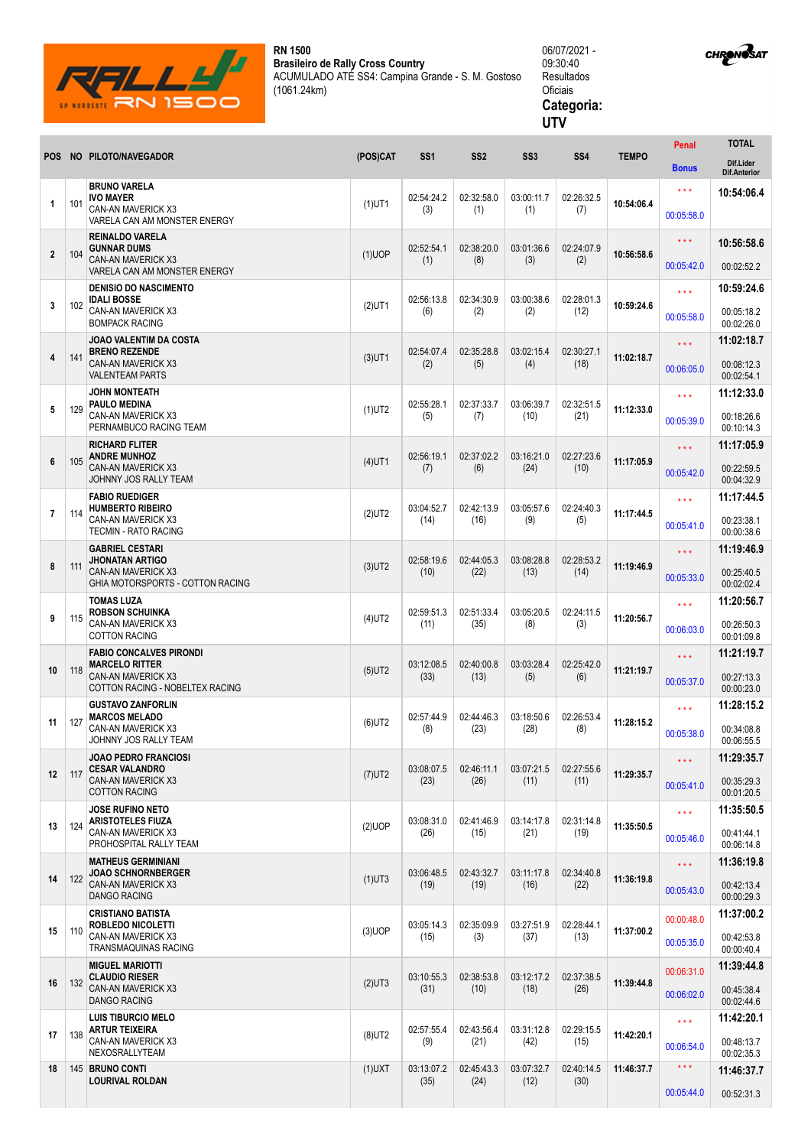

**LOURIVAL ROLDAN** 

**RN 1500 Brasileiro de Rally Cross Country** ACUMULADO ATÉ SS4: Campina Grande - S. M. Gostoso (1061.24km)

## 06/07/2021 - 09:30:40 Resultados Oficiais **Categoria: UTV**

|                 |     |                                                                                                           |           |                    |                    |                    |                    |              | Penal               | <b>TOTAL</b>                     |
|-----------------|-----|-----------------------------------------------------------------------------------------------------------|-----------|--------------------|--------------------|--------------------|--------------------|--------------|---------------------|----------------------------------|
| POS             |     | NO PILOTO/NAVEGADOR                                                                                       | (POS)CAT  | SS <sub>1</sub>    | SS <sub>2</sub>    | SS <sub>3</sub>    | SS <sub>4</sub>    | <b>TEMPO</b> | <b>Bonus</b>        | Dif.Lider<br><b>Dif.Anterior</b> |
|                 |     | <b>BRUNO VARELA</b><br>IVO MAYER                                                                          |           |                    |                    | 03:00:11.7         | 02:26:32.5         | 10:54:06.4   | $\star\star\star$   | 10:54:06.4                       |
| $\mathbf{1}$    | 101 | CAN-AN MAVERICK X3<br>VARELA CAN AM MONSTER ENERGY                                                        | $(1)$ UT1 | 02:54:24.2<br>(3)  | 02:32:58.0<br>(1)  | (1)                | (7)                |              | 00:05:58.0          |                                  |
| $\overline{2}$  |     | <b>REINALDO VARELA</b><br><b>GUNNAR DUMS</b><br><b>CAN-AN MAVERICK X3</b><br>VARELA CAN AM MONSTER ENERGY | $(1)$ UOP | 02:52:54.1         | 02:38:20.0         | 03:01:36.6         | 02:24:07.9         |              | $\star \star \star$ | 10:56:58.6                       |
|                 | 104 |                                                                                                           |           | (1)                | (8)                | (3)                | (2)                | 10:56:58.6   | 00:05:42.0          | 00:02:52.2                       |
|                 |     | <b>DENISIO DO NASCIMENTO</b><br>IDALI BOSSE                                                               |           | 02:56:13.8         | 02:34:30.9         | 03:00:38.6         | 02:28:01.3         |              | $\star \star \star$ | 10:59:24.6                       |
| 3               | 102 | CAN-AN MAVERICK X3<br><b>BOMPACK RACING</b>                                                               | $(2)$ UT1 | (6)                | (2)                | (2)                | (12)               | 10:59:24.6   | 00:05:58.0          | 00:05:18.2<br>00:02:26.0         |
|                 |     | <b>JOAO VALENTIM DA COSTA</b><br><b>BRENO REZENDE</b>                                                     |           | 02:54:07.4         | 02:35:28.8         | 03:02:15.4         | 02:30:27.1         | 11:02:18.7   | $\star \star \star$ | 11:02:18.7                       |
| 4               | 141 | <b>CAN-AN MAVERICK X3</b><br><b>VALENTEAM PARTS</b>                                                       | $(3)$ UT1 | (2)                | (5)                | (4)                | (18)               |              | 00:06:05.0          | 00:08:12.3<br>00:02:54.1         |
|                 |     | <b>JOHN MONTEATH</b><br><b>PAULO MEDINA</b><br>CAN-AN MAVERICK X3<br>PERNAMBUCO RACING TEAM               |           | 02:55:28.1         | 02:37:33.7         | 03:06:39.7         | 02:32:51.5         |              | $\star \star \star$ | 11:12:33.0                       |
| 5               | 129 |                                                                                                           | $(1)$ UT2 | (5)                | (7)                | (10)               | (21)               | 11:12:33.0   | 00:05:39.0          | 00:18:26.6<br>00:10:14.3         |
|                 |     | <b>RICHARD FLITER</b><br><b>ANDRE MUNHOZ</b>                                                              |           | 02:56:19.1         | 02:37:02.2         | 03:16:21.0         | 02:27:23.6         |              | $\star \star \star$ | 11:17:05.9                       |
| 6               | 105 | <b>CAN-AN MAVERICK X3</b><br>JOHNNY JOS RALLY TEAM                                                        | $(4)$ UT1 | (7)                | (6)                | (24)               | (10)               | 11:17:05.9   | 00:05:42.0          | 00:22:59.5<br>00:04:32.9         |
|                 |     | <b>FABIO RUEDIGER</b><br><b>HUMBERTO RIBEIRO</b><br>CAN-AN MAVERICK X3<br>TECMIN - RATO RACING            |           | 03:04:52.7         | 02:42:13.9         | 03:05:57.6         | 02:24:40.3         |              | $\star \star \star$ | 11:17:44.5                       |
| $\overline{7}$  | 114 |                                                                                                           | $(2)$ UT2 | (14)               | (16)               | (9)                | (5)                | 11:17:44.5   | 00:05:41.0          | 00:23:38.1<br>00:00:38.6         |
|                 |     | <b>GABRIEL CESTARI</b><br><b>JHONATAN ARTIGO</b>                                                          |           | 02:58:19.6         | 02:44:05.3         | 03:08:28.8         | 02:28:53.2         |              | $\star \star \star$ | 11:19:46.9                       |
| 8               | 111 | <b>CAN-AN MAVERICK X3</b><br>GHIA MOTORSPORTS - COTTON RACING                                             | $(3)$ UT2 | (10)               | (22)               | (13)               | (14)               | 11:19:46.9   | 00:05:33.0          | 00:25:40.5<br>00:02:02.4         |
|                 |     | <b>TOMAS LUZA</b><br><b>ROBSON SCHUINKA</b>                                                               |           | 02:59:51.3         | 02:51:33.4         | 03:05:20.5         | 02:24:11.5         |              | $\star \star \star$ | 11:20:56.7                       |
| 9               | 115 | CAN-AN MAVERICK X3<br><b>COTTON RACING</b>                                                                | $(4)$ UT2 | (11)               | (35)               | (8)                | (3)                | 11:20:56.7   | 00:06:03.0          | 00:26:50.3<br>00:01:09.8         |
|                 |     | <b>FABIO CONCALVES PIRONDI</b><br><b>MARCELO RITTER</b>                                                   |           | 03:12:08.5         | 02:40:00.8         | 03:03:28.4         | 02:25:42.0         |              | $\star \star \star$ | 11:21:19.7                       |
| 10              | 118 | CAN-AN MAVERICK X3<br>COTTON RACING - NOBELTEX RACING                                                     | $(5)$ UT2 | (33)               | (13)               | (5)                | (6)                | 11:21:19.7   | 00:05:37.0          | 00:27:13.3<br>00:00:23.0         |
|                 |     | <b>GUSTAVO ZANFORLIN</b><br><b>MARCOS MELADO</b>                                                          |           | 02:57:44.9         | 02:44:46.3         | 03:18:50.6         | 02:26:53.4         |              | $\star \star \star$ | 11:28:15.2                       |
| 11              | 127 | CAN-AN MAVERICK X3<br>JOHNNY JOS RALLY TEAM                                                               | $(6)$ UT2 | (8)                | (23)               | (28)               | (8)                | 11:28:15.2   | 00:05:38.0          | 00:34:08.8<br>00:06:55.5         |
|                 |     | <b>JOAO PEDRO FRANCIOSI</b><br><b>CESAR VALANDRO</b>                                                      |           | 03:08:07.5         | 02:46:11.1         | 03:07:21.5         | 02:27:55.6         |              | $\star\star\star$   | 11:29:35.7                       |
| 12 <sup>2</sup> | 117 | <b>CAN-AN MAVERICK X3</b><br><b>COTTON RACING</b>                                                         | $(7)$ UT2 | (23)               | (26)               | (11)               | (11)               | 11:29:35.7   | 00:05:41.0          | 00:35:29.3<br>00:01:20.5         |
| 13              |     | <b>JOSE RUFINO NETO</b><br><b>ARISTOTELES FIUZA</b><br>CAN-AN MAVERICK X3<br>PROHOSPITAL RALLY TEAM       |           | 03:08:31.0         | 02:41:46.9         | 03:14:17.8         | 02:31:14.8         | 11:35:50.5   | $\star \star \star$ | 11:35:50.5                       |
|                 | 124 |                                                                                                           | $(2)$ UOP | (26)               | (15)               | (21)               | (19)               |              | 00:05:46.0          | 00:41:44.1<br>00:06:14.8         |
|                 |     | <b>MATHEUS GERMINIANI</b><br><b>JOAO SCHNORNBERGER</b>                                                    |           | 03:06:48.5         | 02:43:32.7         | 03:11:17.8         | 02:34:40.8         |              | $***$               | 11:36:19.8                       |
| 14              | 122 | <b>CAN-AN MAVERICK X3</b><br><b>DANGO RACING</b>                                                          | $(1)$ UT3 | (19)               | (19)               | (16)               | (22)               | 11:36:19.8   | 00:05:43.0          | 00:42:13.4<br>00:00:29.3         |
| 15              | 110 | <b>CRISTIANO BATISTA</b><br><b>ROBLEDO NICOLETTI</b><br>CAN-AN MAVERICK X3<br>TRANSMAQUINAS RACING        |           | 03:05:14.3         | 02:35:09.9         | 03:27:51.9         | 02:28:44.1         |              | 00:00:48.0          | 11:37:00.2                       |
|                 |     |                                                                                                           | $(3)$ UOP | (15)               | (3)                | (37)               | (13)               | 11:37:00.2   | 00:05:35.0          | 00:42:53.8<br>00:00:40.4         |
|                 |     | <b>MIGUEL MARIOTTI</b><br><b>CLAUDIO RIESER</b><br><b>CAN-AN MAVERICK X3</b><br><b>DANGO RACING</b>       | $(2)$ UT3 | 03:10:55.3<br>(31) | 02:38:53.8<br>(10) | 03:12:17.2<br>(18) | 02:37:38.5<br>(26) | 11:39:44.8   | 00:06:31.0          | 11:39:44.8                       |
| 16              | 132 |                                                                                                           |           |                    |                    |                    |                    |              | 00:06:02.0          | 00:45:38.4<br>00:02:44.6         |
|                 |     | <b>LUIS TIBURCIO MELO</b><br><b>ARTUR TEIXEIRA</b>                                                        |           | 02:57:55.4         | 02:43:56.4         | 03:31:12.8         | 02:29:15.5         |              | $\star\star\star$   | 11:42:20.1                       |
| 17              | 138 | CAN-AN MAVERICK X3<br>NEXOSRALLYTEAM                                                                      | $(8)$ UT2 | (9)                | (21)               | (42)               | (15)               | 11:42:20.1   | 00:06:54.0          | 00:48:13.7<br>00:02:35.3         |
| 18              |     | 145 BRUNO CONTI                                                                                           | $(1)$ UXT | 03:13:07.2         | 02:45:43.3         | 03:07:32.7         | 02:40:14.5         | 11:46:37.7   | $\star\star\star$   | 11:46:37.7                       |

(35)

(24)

(12)

(30)

00:05:44.0

00:52:31.3

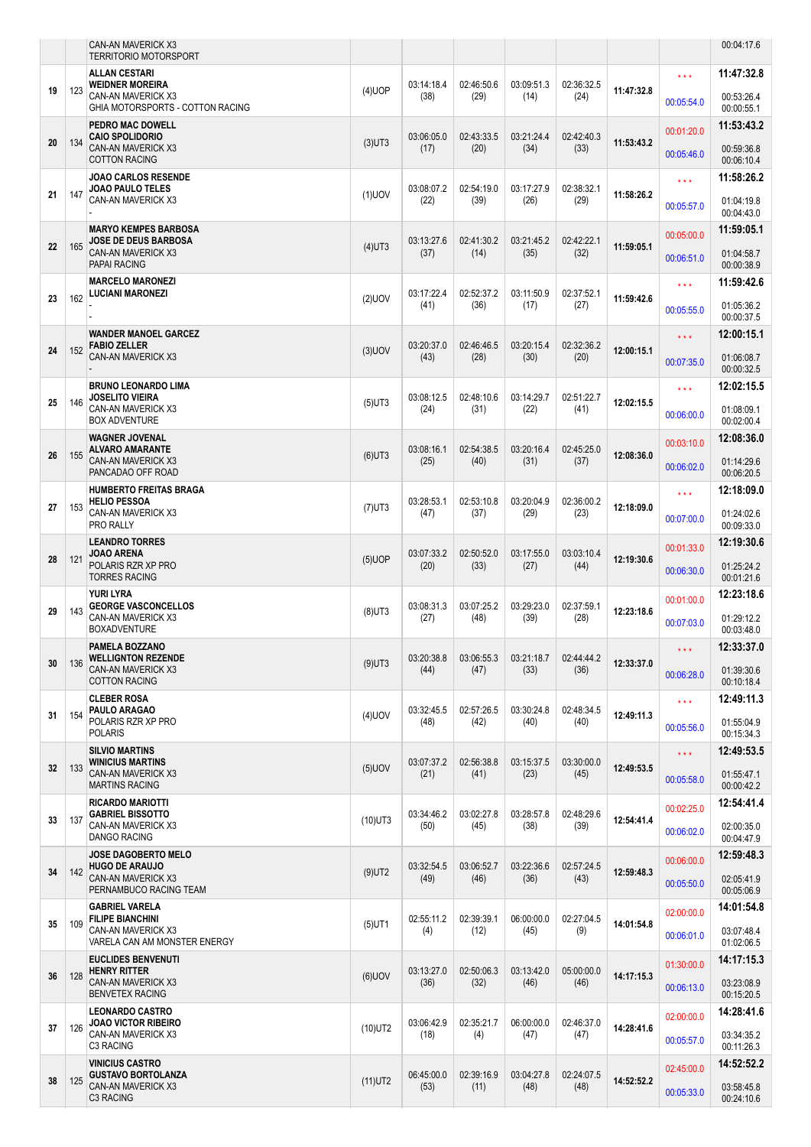|    |     | <b>CAN-AN MAVERICK X3</b><br><b>TERRITORIO MOTORSPORT</b>                                          |                        |                    |                                                                              |                    |                    |                    |                                        | 00:04:17.6                                           |
|----|-----|----------------------------------------------------------------------------------------------------|------------------------|--------------------|------------------------------------------------------------------------------|--------------------|--------------------|--------------------|----------------------------------------|------------------------------------------------------|
|    |     | <b>ALLAN CESTARI</b>                                                                               |                        |                    |                                                                              |                    |                    |                    | $\star \star \star$                    | 11:47:32.8                                           |
| 19 | 123 | <b>WEIDNER MOREIRA</b><br>CAN-AN MAVERICK X3                                                       | $(4)$ UOP              | 03:14:18.4<br>(38) | 02:46:50.6<br>(29)                                                           | 03:09:51.3<br>(14) | 02:36:32.5<br>(24) | 11:47:32.8         | 00:05:54.0                             | 00:53:26.4                                           |
|    |     | GHIA MOTORSPORTS - COTTON RACING<br>PEDRO MAC DOWELL                                               |                        |                    |                                                                              |                    |                    |                    |                                        | 00:00:55.1<br>11:53:43.2                             |
| 20 | 134 | <b>CAIO SPOLIDORIO</b><br><b>CAN-AN MAVERICK X3</b>                                                | $(3)$ UT3              | 03:06:05.0<br>(17) | 02:43:33.5<br>(20)                                                           | 03:21:24.4<br>(34) | 02:42:40.3<br>(33) | 11:53:43.2         | 00:01:20.0                             | 00:59:36.8                                           |
|    |     | <b>COTTON RACING</b>                                                                               |                        |                    |                                                                              |                    |                    |                    | 00:05:46.0                             | 00:06:10.4                                           |
|    |     | <b>JOAO CARLOS RESENDE</b><br><b>JOAO PAULO TELES</b><br>CAN-AN MAVERICK X3                        |                        | 03:08:07.2         | 02:54:19.0                                                                   | 03:17:27.9         | 02:38:32.1         |                    | $\star \star \star$                    | 11:58:26.2                                           |
| 21 | 147 |                                                                                                    | $(1)$ UOV              | (22)               | (39)                                                                         | (26)               | (29)               | 11:58:26.2         | 00:05:57.0                             | 01:04:19.8<br>00:04:43.0                             |
|    |     | <b>MARYO KEMPES BARBOSA</b><br><b>JOSE DE DEUS BARBOSA</b><br><b>CAN-AN MAVERICK X3</b>            | $(4)$ UT3              | 03:13:27.6<br>(37) |                                                                              |                    |                    | 11:59:05.1         | 00:05:00.0                             | 11:59:05.1                                           |
| 22 | 165 |                                                                                                    |                        |                    | 02:41:30.2<br>(14)                                                           | 03:21:45.2<br>(35) | 02:42:22.1<br>(32) |                    | 00:06:51.0                             | 01:04:58.7                                           |
|    |     | <b>PAPAI RACING</b><br><b>MARCELO MARONEZI</b>                                                     |                        |                    |                                                                              |                    |                    |                    | $\star \star \star$                    | 00:00:38.9<br>11:59:42.6                             |
| 23 | 162 | <b>LUCIANI MARONEZI</b>                                                                            | $(2)$ UOV              | 03:17:22.4<br>(41) | 02:52:37.2<br>(36)                                                           | 03:11:50.9<br>(17) | 02:37:52.1<br>(27) | 11:59:42.6         |                                        | 01:05:36.2                                           |
|    |     |                                                                                                    |                        |                    |                                                                              |                    |                    |                    | 00:05:55.0                             | 00:00:37.5                                           |
| 24 | 152 | <b>WANDER MANOEL GARCEZ</b><br><b>FABIO ZELLER</b>                                                 | $(3)$ UOV              | 03:20:37.0         | 02:46:46.5                                                                   | 03:20:15.4         | 02:32:36.2         | 12:00:15.1         | $\star \star \star$                    | 12:00:15.1                                           |
|    |     | <b>CAN-AN MAVERICK X3</b>                                                                          |                        | (43)               | (28)                                                                         | (30)               | (20)               |                    | 00:07:35.0                             | 01:06:08.7<br>00:00:32.5                             |
|    |     | <b>BRUNO LEONARDO LIMA</b><br><b>JOSELITO VIEIRA</b><br>CAN-AN MAVERICK X3<br><b>BOX ADVENTURE</b> |                        | 03:08:12.5         | 02:48:10.6                                                                   | 03:14:29.7         | 02:51:22.7         |                    | $\star \star \star$                    | 12:02:15.5                                           |
| 25 | 146 |                                                                                                    | $(5)$ UT3              | (24)               | (31)                                                                         | (22)               | (41)               | 12:02:15.5         | 00:06:00.0                             | 01:08:09.1<br>00:02:00.4                             |
|    |     | <b>WAGNER JOVENAL</b>                                                                              |                        |                    |                                                                              |                    |                    |                    | 00:03:10.0                             | 12:08:36.0                                           |
| 26 | 155 | <b>ALVARO AMARANTE</b><br><b>CAN-AN MAVERICK X3</b><br>PANCADAO OFF ROAD                           | $(6)$ UT3              | 03:08:16.1<br>(25) | 02:54:38.5<br>(40)                                                           | 03:20:16.4<br>(31) | 02:45:25.0<br>(37) | 12:08:36.0         | 00:06:02.0                             | 01:14:29.6                                           |
|    |     |                                                                                                    |                        |                    |                                                                              |                    |                    |                    |                                        | 00:06:20.5                                           |
| 27 | 153 | HUMBERTO FREITAS BRAGA<br><b>HELIO PESSOA</b>                                                      | $(7)$ UT3              | 03:28:53.1         | 02:53:10.8                                                                   | 03:20:04.9         | 02:36:00.2         | 12:18:09.0         | $\star \star \star$                    | 12:18:09.0                                           |
|    |     | CAN-AN MAVERICK X3<br>PRO RALLY                                                                    |                        | (47)               | (37)                                                                         | (29)               | (23)               |                    | 00:07:00.0                             | 01:24:02.6<br>00:09:33.0                             |
|    |     | <b>LEANDRO TORRES</b><br>JOAO ARENA<br>POLARIS RZR XP PRO<br><b>TORRES RACING</b>                  |                        | 03:07:33.2         | 02:50:52.0                                                                   | 03:17:55.0         | 03:03:10.4         |                    | 00:01:33.0                             | 12:19:30.6                                           |
| 28 | 121 |                                                                                                    | $(5)$ UOP              | (20)               | (33)                                                                         | (27)               | (44)               | 12:19:30.6         | 00:06:30.0<br>00:01:00.0<br>00:07:03.0 | 01:25:24.2                                           |
|    | 143 | YURI LYRA                                                                                          |                        |                    |                                                                              |                    |                    |                    |                                        | 12:23:18.6                                           |
| 29 |     | <b>GEORGE VASCONCELLOS</b><br>CAN-AN MAVERICK X3                                                   | $(8)$ UT3              | (27)               | 03:07:25.2<br>03:29:23.0<br>02:37:59.1<br>03:08:31.3<br>(48)<br>(39)<br>(28) | 12:23:18.6         |                    | 01:29:12.2         |                                        |                                                      |
|    |     | <b>BOXADVENTURE</b><br>PAMELA BOZZANO                                                              |                        |                    |                                                                              |                    |                    |                    |                                        | 00:01:21.6<br>00:03:48.0<br>12:33:37.0<br>01:39:30.6 |
| 30 | 136 | <b>WELLIGNTON REZENDE</b><br><b>CAN-AN MAVERICK X3</b><br><b>COTTON RACING</b>                     | $(9)$ UT3              | 03:20:38.8<br>(44) | 03:06:55.3<br>(47)                                                           | 03:21:18.7<br>(33) | 02:44:44.2<br>(36) | 12:33:37.0         |                                        |                                                      |
|    |     |                                                                                                    |                        |                    |                                                                              |                    |                    |                    | 00:06:28.0                             | 00:10:18.4                                           |
| 31 | 154 | <b>CLEBER ROSA</b><br>PAULO ARAGAO<br>POLARIS RZR XP PRO<br>POLARIS                                | $(4)$ UOV              | 03:32:45.5         | 02:57:26.5                                                                   | 03:30:24.8         | 02:48:34.5         | 12:49:11.3         | $\star \star \star$                    | 12:49:11.3                                           |
|    |     |                                                                                                    |                        | (48)               | (42)                                                                         | (40)               | (40)               |                    | 00:05:56.0                             | 01:55:04.9<br>00:15:34.3                             |
|    |     | <b>SILVIO MARTINS</b><br><b>WINICIUS MARTINS</b><br>CAN-AN MAVERICK X3<br><b>MARTINS RACING</b>    |                        | 03:07:37.2         | 02:56:38.8                                                                   | 03:15:37.5         | 03:30:00.0         |                    | $\star \star \star$                    | 12:49:53.5                                           |
| 32 | 133 |                                                                                                    | $(5)$ UOV              | (21)               | (41)                                                                         | (23)               | (45)               | 12:49:53.5         | 00:05:58.0                             | 01:55:47.1<br>00:00:42.2                             |
|    |     | <b>RICARDO MARIOTTI</b><br><b>GABRIEL BISSOTTO</b><br><b>CAN-AN MAVERICK X3</b>                    |                        |                    |                                                                              |                    |                    |                    | 00:02:25.0                             | 12:54:41.4                                           |
| 33 | 137 |                                                                                                    | $(10)$ UT3             | 03:34:46.2<br>(50) | 03:02:27.8<br>(45)                                                           | 03:28:57.8<br>(38) | 02:48:29.6<br>(39) | 12:54:41.4         | 00:06:02.0                             | 02:00:35.0                                           |
|    |     | DANGO RACING<br><b>JOSE DAGOBERTO MELO</b>                                                         |                        |                    |                                                                              |                    |                    |                    |                                        | 00:04:47.9<br>12:59:48.3                             |
| 34 | 142 | <b>HUGO DE ARAUJO</b><br>CAN-AN MAVERICK X3<br>PERNAMBUCO RACING TEAM                              | $(9)$ UT2              | 03:32:54.5<br>(49) | 03:06:52.7<br>(46)                                                           | 03:22:36.6<br>(36) | 02:57:24.5<br>(43) | 12:59:48.3         | 00:06:00.0                             | 02:05:41.9                                           |
|    |     |                                                                                                    |                        |                    |                                                                              |                    |                    |                    | 00:05:50.0                             | 00:05:06.9                                           |
| 35 | 109 | <b>GABRIEL VARELA</b><br><b>FILIPE BIANCHINI</b>                                                   | $(5)$ UT1              | 02:55:11.2<br>(4)  | 02:39:39.1<br>(12)                                                           | 06:00:00.0<br>(45) | 02:27:04.5<br>(9)  | 14:01:54.8         | 02:00:00.0                             | 14:01:54.8                                           |
|    |     | CAN-AN MAVERICK X3<br>VARELA CAN AM MONSTER ENERGY                                                 |                        |                    |                                                                              |                    |                    |                    | 00:06:01.0                             | 03:07:48.4<br>01:02:06.5                             |
|    |     | <b>EUCLIDES BENVENUTI</b><br><b>HENRY RITTER</b><br><b>CAN-AN MAVERICK X3</b>                      |                        |                    |                                                                              |                    |                    |                    | 01:30:00.0                             | 14:17:15.3                                           |
| 36 | 128 |                                                                                                    | <b>BENVETEX RACING</b> | $(6)$ UOV          | 03:13:27.0<br>(36)                                                           | 02:50:06.3<br>(32) | 03:13:42.0<br>(46) | 05:00:00.0<br>(46) | 14:17:15.3                             | 00:06:13.0                                           |
|    |     | <b>LEONARDO CASTRO</b>                                                                             |                        |                    |                                                                              |                    |                    |                    |                                        | 00:15:20.5<br>14:28:41.6                             |
| 37 | 126 | JOAO VICTOR RIBEIRO<br>CAN-AN MAVERICK X3                                                          | $(10)$ UT2             | 03:06:42.9<br>(18) | 02:35:21.7<br>(4)                                                            | 06:00:00.0<br>(47) | 02:46:37.0<br>(47) | 14:28:41.6         | 02:00:00.0                             | 03:34:35.2                                           |
|    |     | C3 RACING                                                                                          |                        |                    |                                                                              |                    |                    |                    | 00:05:57.0                             | 00:11:26.3                                           |
| 38 | 125 | <b>VINICIUS CASTRO</b><br><b>GUSTAVO BORTOLANZA</b><br>CAN-AN MAVERICK X3<br>C3 RACING             | $(11)$ UT2             | 06:45:00.0         | 02:39:16.9                                                                   | 03:04:27.8         | 02:24:07.5         | 14:52:52.2         | 02:45:00.0                             | 14:52:52.2                                           |
|    |     |                                                                                                    |                        | (53)               | (11)                                                                         | (48)               | (48)               |                    | 00:05:33.0                             | 03:58:45.8<br>00:24:10.6                             |
|    |     |                                                                                                    |                        |                    |                                                                              |                    |                    |                    |                                        |                                                      |